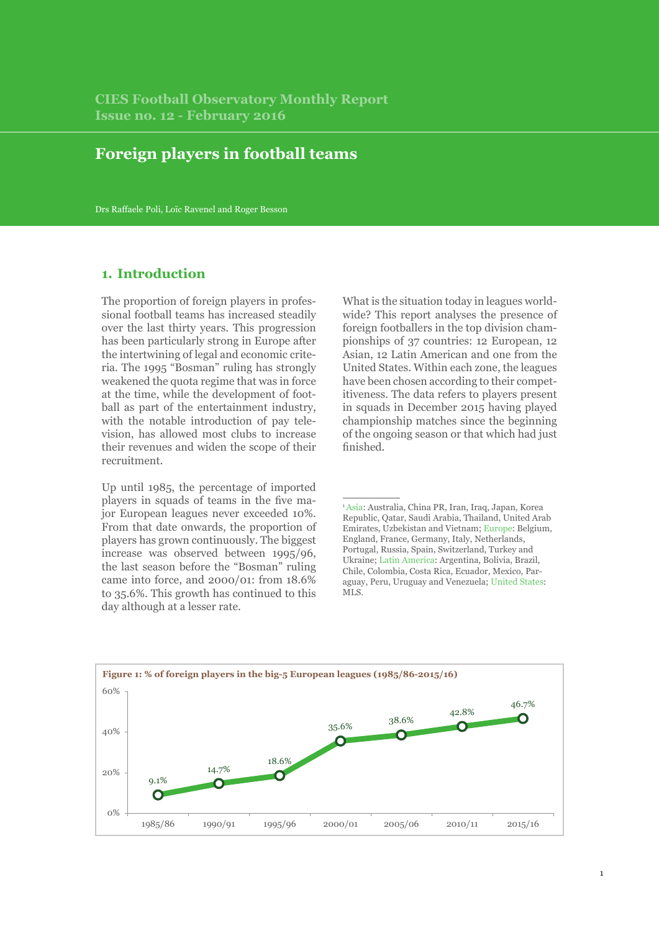# **Foreign players in football teams**

Drs Raffaele Poli, Loïc Ravenel and Roger Besson

# **1. Introduction**

The proportion of foreign players in professional football teams has increased steadily over the last thirty years. This progression has been particularly strong in Europe after the intertwining of legal and economic criteria. The 1995 "Bosman" ruling has strongly weakened the quota regime that was in force at the time, while the development of football as part of the entertainment industry, with the notable introduction of pay television, has allowed most clubs to increase their revenues and widen the scope of their recruitment.

Up until 1985, the percentage of imported players in squads of teams in the five major European leagues never exceeded 10%. From that date onwards, the proportion of players has grown continuously. The biggest increase was observed between 1995/96, the last season before the "Bosman" ruling came into force, and 2000/01: from 18.6% to 35.6%. This growth has continued to this day although at a lesser rate.

What is the situation today in leagues worldwide? This report analyses the presence of foreign footballers in the top division championships of 37 countries: 12 European, 12 Asian, 12 Latin American and one from the United States. Within each zone, the leagues have been chosen according to their competitiveness. The data refers to players present in squads in December 2015 having played championship matches since the beginning of the ongoing season or that which had just finished.



<sup>1</sup> Asia: Australia, China PR, Iran, Iraq, Japan, Korea Republic, Qatar, Saudi Arabia, Thailand, United Arab Emirates, Uzbekistan and Vietnam; Europe: Belgium, England, France, Germany, Italy, Netherlands, Portugal, Russia, Spain, Switzerland, Turkey and Ukraine; Latin America: Argentina, Bolivia, Brazil, Chile, Colombia, Costa Rica, Ecuador, Mexico, Paraguay, Peru, Uruguay and Venezuela; United States: MLS.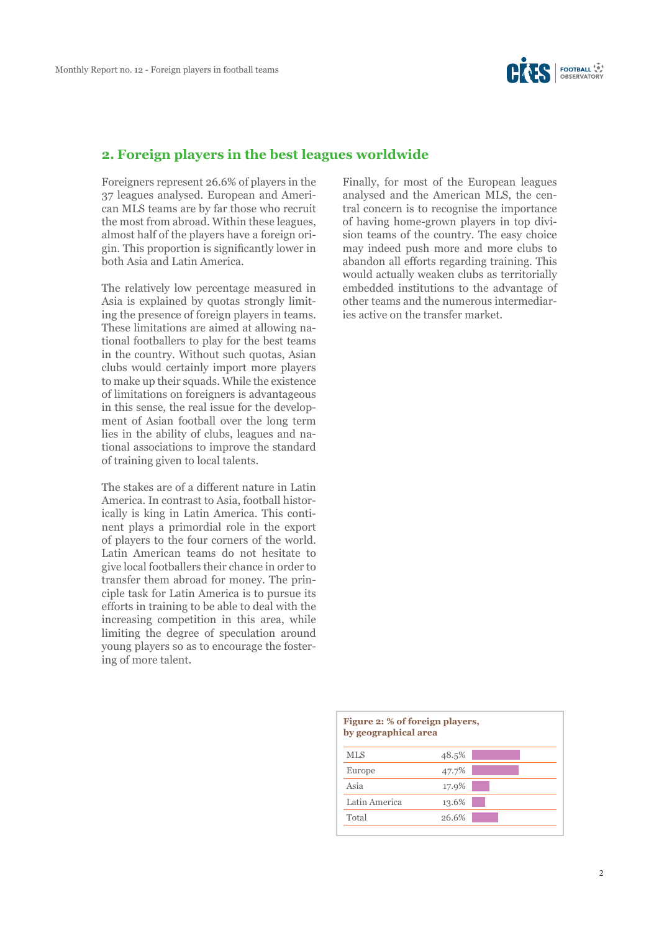

#### **2. Foreign players in the best leagues worldwide**

Foreigners represent 26.6% of players in the 37 leagues analysed. European and American MLS teams are by far those who recruit the most from abroad. Within these leagues, almost half of the players have a foreign origin. This proportion is significantly lower in both Asia and Latin America.

The relatively low percentage measured in Asia is explained by quotas strongly limiting the presence of foreign players in teams. These limitations are aimed at allowing national footballers to play for the best teams in the country. Without such quotas, Asian clubs would certainly import more players to make up their squads. While the existence of limitations on foreigners is advantageous in this sense, the real issue for the development of Asian football over the long term lies in the ability of clubs, leagues and national associations to improve the standard of training given to local talents.

The stakes are of a different nature in Latin America. In contrast to Asia, football historically is king in Latin America. This continent plays a primordial role in the export of players to the four corners of the world. Latin American teams do not hesitate to give local footballers their chance in order to transfer them abroad for money. The principle task for Latin America is to pursue its efforts in training to be able to deal with the increasing competition in this area, while limiting the degree of speculation around young players so as to encourage the fostering of more talent.

Finally, for most of the European leagues analysed and the American MLS, the central concern is to recognise the importance of having home-grown players in top division teams of the country. The easy choice may indeed push more and more clubs to abandon all efforts regarding training. This would actually weaken clubs as territorially embedded institutions to the advantage of other teams and the numerous intermediaries active on the transfer market.

| Figure 2: % of foreign players,<br>by geographical area |       |  |  |
|---------------------------------------------------------|-------|--|--|
| <b>MLS</b>                                              | 48.5% |  |  |
| Europe                                                  | 47.7% |  |  |
| Asia                                                    | 17.9% |  |  |
| Latin America                                           | 13.6% |  |  |
| Total                                                   | 26.6% |  |  |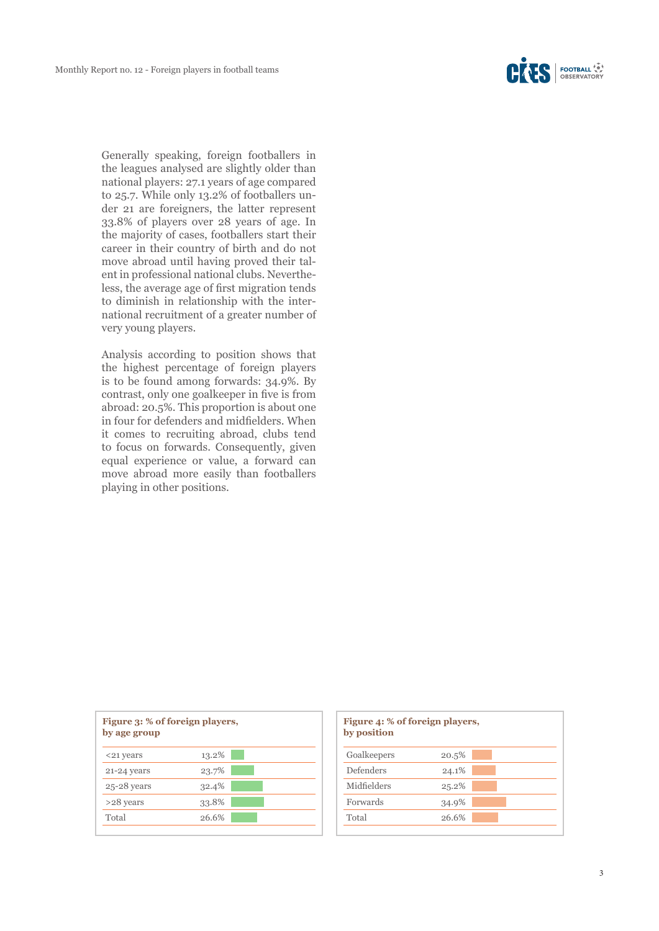Generally speaking, foreign footballers in the leagues analysed are slightly older than national players: 27.1 years of age compared to 25.7. While only 13.2% of footballers under 21 are foreigners, the latter represent 33.8% of players over 28 years of age. In the majority of cases, footballers start their career in their country of birth and do not move abroad until having proved their talent in professional national clubs. Nevertheless, the average age of first migration tends to diminish in relationship with the international recruitment of a greater number of very young players.

Analysis according to position shows that the highest percentage of foreign players is to be found among forwards: 34.9%. By contrast, only one goalkeeper in five is from abroad: 20.5%. This proportion is about one in four for defenders and midfielders. When it comes to recruiting abroad, clubs tend to focus on forwards. Consequently, given equal experience or value, a forward can move abroad more easily than footballers playing in other positions.

| Figure 3: % of foreign players,<br>by age group |       |  |
|-------------------------------------------------|-------|--|
| <21 years                                       | 13.2% |  |
| 21-24 years                                     | 23.7% |  |
| $25-28$ years                                   | 32.4% |  |
| >28 years                                       | 33.8% |  |
| Total                                           | 26.6% |  |

| Figure 4: % of foreign players,<br>by position |       |  |
|------------------------------------------------|-------|--|
| Goalkeepers                                    | 20.5% |  |
| Defenders                                      | 24.1% |  |
| Midfielders                                    | 25.2% |  |
| Forwards                                       | 34.9% |  |
| Total                                          | 26.6% |  |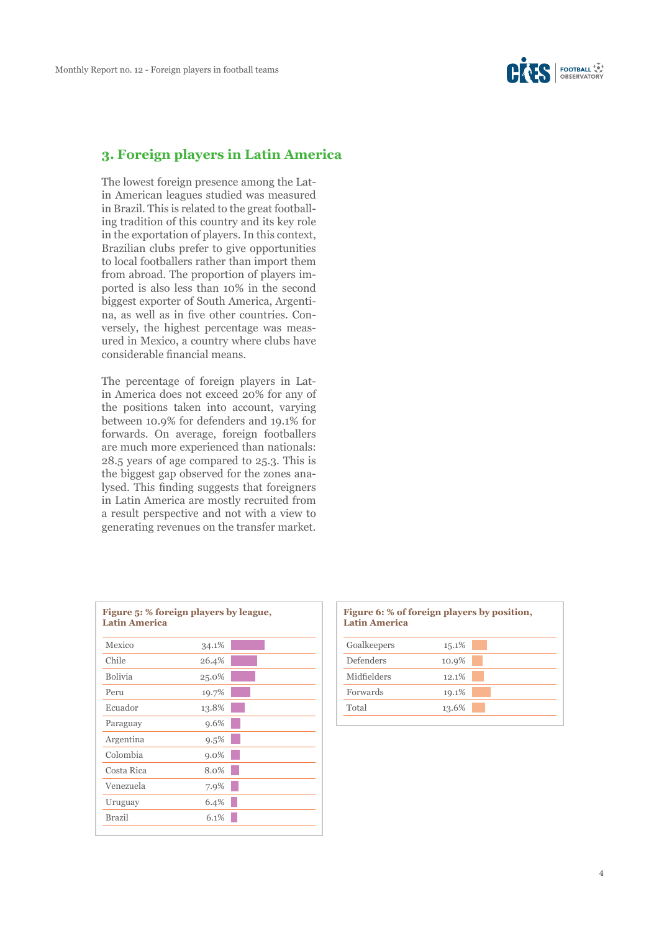### **3. Foreign players in Latin America**

The lowest foreign presence among the Latin American leagues studied was measured in Brazil. This is related to the great footballing tradition of this country and its key role in the exportation of players. In this context, Brazilian clubs prefer to give opportunities to local footballers rather than import them from abroad. The proportion of players imported is also less than 10% in the second biggest exporter of South America, Argentina, as well as in five other countries. Conversely, the highest percentage was measured in Mexico, a country where clubs have considerable financial means.

The percentage of foreign players in Latin America does not exceed 20% for any of the positions taken into account, varying between 10.9% for defenders and 19.1% for forwards. On average, foreign footballers are much more experienced than nationals: 28.5 years of age compared to 25.3. This is the biggest gap observed for the zones analysed. This finding suggests that foreigners in Latin America are mostly recruited from a result perspective and not with a view to generating revenues on the transfer market.

| Figure 5: % foreign players by league,<br><b>Latin America</b> |         |  |
|----------------------------------------------------------------|---------|--|
| Mexico                                                         | 34.1%   |  |
| Chile                                                          | 26.4%   |  |
| <b>Bolivia</b>                                                 | 25.0%   |  |
| Peru                                                           | 19.7%   |  |
| Ecuador                                                        | 13.8%   |  |
| Paraguay                                                       | 9.6%    |  |
| Argentina                                                      | 9.5%    |  |
| Colombia                                                       | $9.0\%$ |  |
| Costa Rica                                                     | 8.0%    |  |
| Venezuela                                                      | 7.9%    |  |
| Uruguay                                                        | 6.4%    |  |
| <b>Brazil</b>                                                  | 6.1%    |  |

# **Figure 6: % of foreign players by position, Latin America**  Goalkeepers 15.1% Defenders 10.9% Midfielders 12.1% Forwards 19.1% Total 13.6%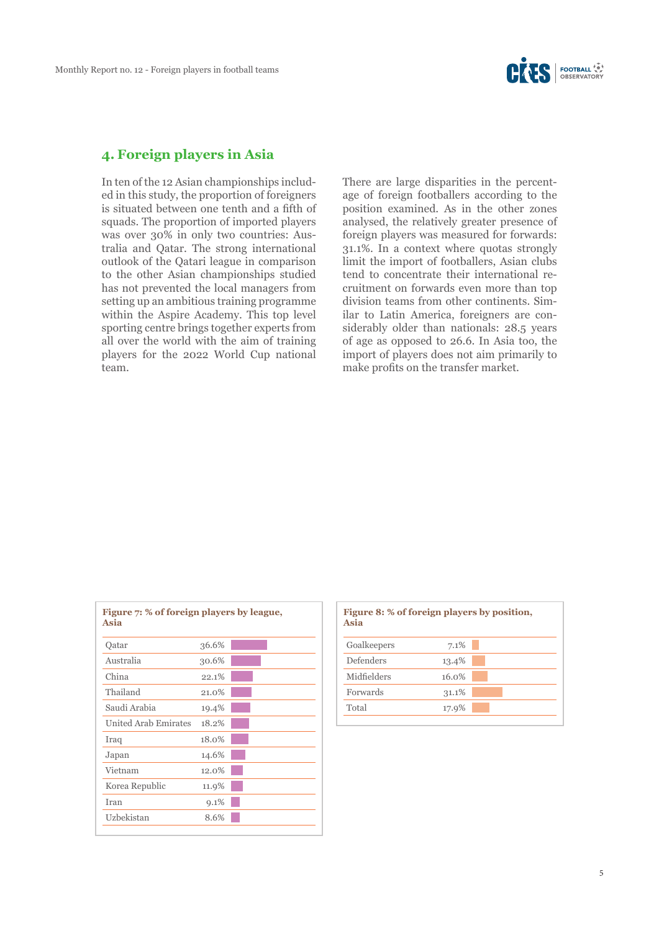

#### **4. Foreign players in Asia**

In ten of the 12 Asian championships included in this study, the proportion of foreigners is situated between one tenth and a fifth of squads. The proportion of imported players was over 30% in only two countries: Australia and Qatar. The strong international outlook of the Qatari league in comparison to the other Asian championships studied has not prevented the local managers from setting up an ambitious training programme within the Aspire Academy. This top level sporting centre brings together experts from all over the world with the aim of training players for the 2022 World Cup national team.

There are large disparities in the percentage of foreign footballers according to the position examined. As in the other zones analysed, the relatively greater presence of foreign players was measured for forwards: 31.1%. In a context where quotas strongly limit the import of footballers, Asian clubs tend to concentrate their international recruitment on forwards even more than top division teams from other continents. Similar to Latin America, foreigners are considerably older than nationals: 28.5 years of age as opposed to 26.6. In Asia too, the import of players does not aim primarily to make profits on the transfer market.

| Oatar                | 36.6%    |  |
|----------------------|----------|--|
| Australia            | 30.6%    |  |
| China                | 22.1%    |  |
| Thailand             | 21.0%    |  |
| Saudi Arabia         | 19.4%    |  |
| United Arab Emirates | 18.2%    |  |
| Iraq                 | $18.0\%$ |  |
| Japan                | 14.6%    |  |
| Vietnam              | 12.0%    |  |
| Korea Republic       | 11.9%    |  |
| Iran                 | 9.1%     |  |
| Uzbekistan           | 8.6%     |  |

| Figure 8: % of foreign players by position,<br>Asia |  |  |
|-----------------------------------------------------|--|--|
| 7.1%                                                |  |  |
| 13.4%                                               |  |  |
| 16.0%                                               |  |  |
| 31.1%                                               |  |  |
| 17.9%                                               |  |  |
|                                                     |  |  |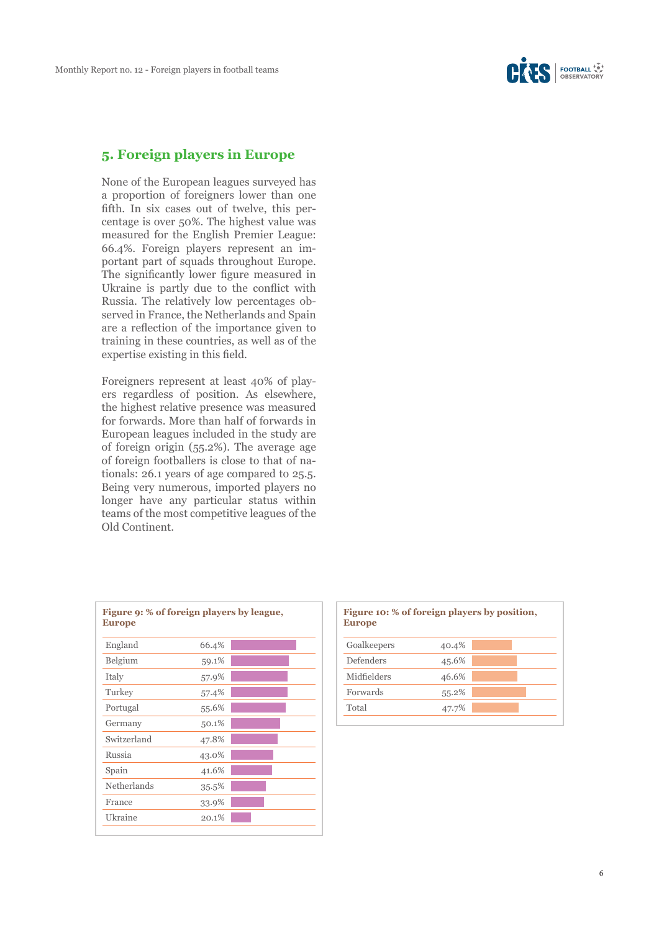### **5. Foreign players in Europe**

None of the European leagues surveyed has a proportion of foreigners lower than one fifth. In six cases out of twelve, this percentage is over 50%. The highest value was measured for the English Premier League: 66.4%. Foreign players represent an important part of squads throughout Europe. The significantly lower figure measured in Ukraine is partly due to the conflict with Russia. The relatively low percentages observed in France, the Netherlands and Spain are a reflection of the importance given to training in these countries, as well as of the expertise existing in this field.

Foreigners represent at least 40% of players regardless of position. As elsewhere, the highest relative presence was measured for forwards. More than half of forwards in European leagues included in the study are of foreign origin (55.2%). The average age of foreign footballers is close to that of nationals: 26.1 years of age compared to 25.5. Being very numerous, imported players no longer have any particular status within teams of the most competitive leagues of the Old Continent.

| Figure 9: % of foreign players by league,<br><b>Europe</b> |  |  |  |
|------------------------------------------------------------|--|--|--|
| 66.4%                                                      |  |  |  |
| 59.1%                                                      |  |  |  |
| 57.9%                                                      |  |  |  |
| 57.4%                                                      |  |  |  |
| 55.6%                                                      |  |  |  |
| 50.1%                                                      |  |  |  |
| 47.8%                                                      |  |  |  |
| 43.0%                                                      |  |  |  |
| 41.6%                                                      |  |  |  |
| 35.5%                                                      |  |  |  |
| 33.9%                                                      |  |  |  |
| 20.1%                                                      |  |  |  |
|                                                            |  |  |  |

# **Figure 10: % of foreign players by position, Europe** Goalkeepers 40.4% Defenders 45.6% Midfielders 46.6% Forwards 55.2% Total 47.7%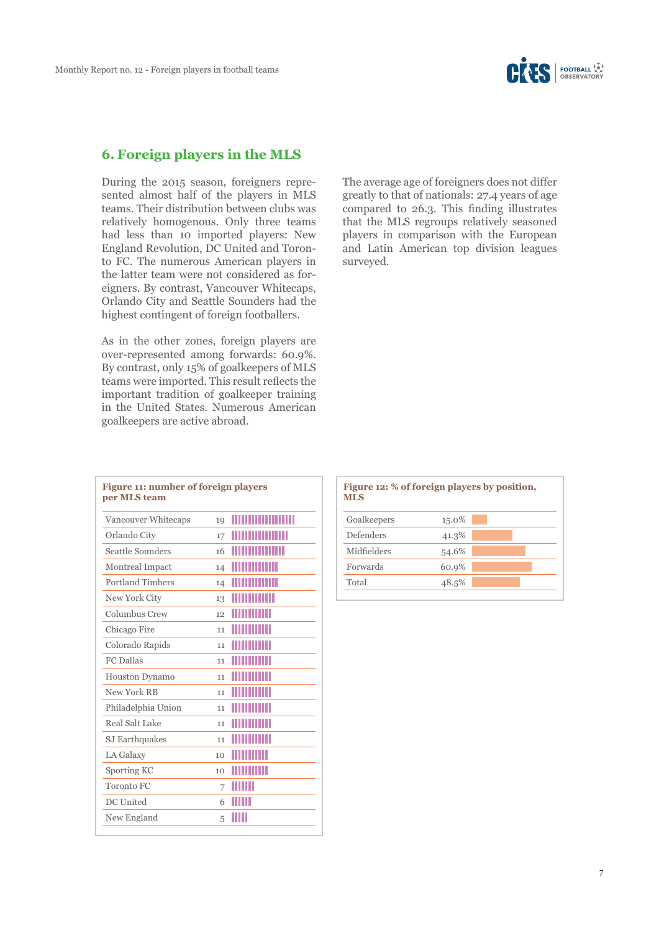

## **6. Foreign players in the MLS**

During the 2015 season, foreigners represented almost half of the players in MLS teams. Their distribution between clubs was relatively homogenous. Only three teams had less than 10 imported players: New England Revolution, DC United and Toronto FC. The numerous American players in the latter team were not considered as foreigners. By contrast, Vancouver Whitecaps, Orlando City and Seattle Sounders had the highest contingent of foreign footballers.

As in the other zones, foreign players are over-represented among forwards: 60.9%. By contrast, only 15% of goalkeepers of MLS teams were imported. This result reflects the important tradition of goalkeeper training in the United States. Numerous American goalkeepers are active abroad.

| Figure 11: number of foreign players<br>per MLS team |    |                     |  |  |
|------------------------------------------------------|----|---------------------|--|--|
| Vancouver Whitecaps                                  | 19 |                     |  |  |
| Orlando City                                         | 17 | <u> Timba ka</u>    |  |  |
| Seattle Sounders                                     | 16 |                     |  |  |
| Montreal Impact                                      | 14 | <u> Timba ka</u>    |  |  |
| Portland Timbers                                     | 14 | <u> Herman Ma</u>   |  |  |
| New York City                                        | 13 |                     |  |  |
| Columbus Crew                                        | 12 |                     |  |  |
| Chicago Fire                                         | 11 | IIIIIIIIIII         |  |  |
| Colorado Rapids                                      | 11 | <u>HIIIIIIIII</u>   |  |  |
| <b>FC</b> Dallas                                     | 11 | <u> Maria Ma</u>    |  |  |
| <b>Houston Dynamo</b>                                | 11 | <b>THEFT IT I</b>   |  |  |
| New York RB                                          | 11 | <b>THEFT IT I</b>   |  |  |
| Philadelphia Union                                   | 11 | <b>TITULITII</b>    |  |  |
| Real Salt Lake                                       | 11 | <u> Hillian III</u> |  |  |
| SJ Earthquakes                                       | 11 | <u> Hilliam M</u>   |  |  |
| LA Galaxy                                            | 10 | <b>TITULITII</b>    |  |  |
| Sporting KC                                          | 10 | <b>THULLIN</b>      |  |  |
| Toronto FC                                           | 7  | ШШ                  |  |  |
| DC United                                            | 6  | IIIII               |  |  |
| New England                                          | 5  | Ш                   |  |  |
|                                                      |    |                     |  |  |

The average age of foreigners does not differ greatly to that of nationals: 27.4 years of age compared to 26.3. This finding illustrates that the MLS regroups relatively seasoned players in comparison with the European and Latin American top division leagues surveyed.

| Figure 12: % of foreign players by position,<br><b>MLS</b> |       |  |  |  |
|------------------------------------------------------------|-------|--|--|--|
| Goalkeepers                                                | 15.0% |  |  |  |
| Defenders                                                  | 41.3% |  |  |  |
| Midfielders                                                | 54.6% |  |  |  |
| Forwards                                                   | 60.9% |  |  |  |
| Total                                                      | 48.5% |  |  |  |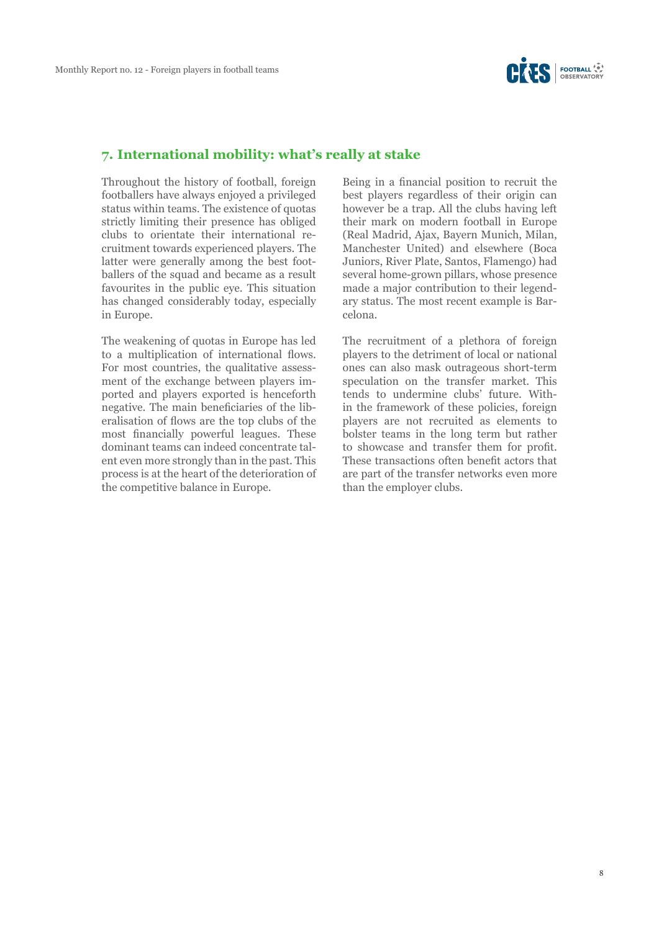

#### **7. International mobility: what's really at stake**

Throughout the history of football, foreign footballers have always enjoyed a privileged status within teams. The existence of quotas strictly limiting their presence has obliged clubs to orientate their international recruitment towards experienced players. The latter were generally among the best footballers of the squad and became as a result favourites in the public eye. This situation has changed considerably today, especially in Europe.

The weakening of quotas in Europe has led to a multiplication of international flows. For most countries, the qualitative assessment of the exchange between players imported and players exported is henceforth negative. The main beneficiaries of the liberalisation of flows are the top clubs of the most financially powerful leagues. These dominant teams can indeed concentrate talent even more strongly than in the past. This process is at the heart of the deterioration of the competitive balance in Europe.

Being in a financial position to recruit the best players regardless of their origin can however be a trap. All the clubs having left their mark on modern football in Europe (Real Madrid, Ajax, Bayern Munich, Milan, Manchester United) and elsewhere (Boca Juniors, River Plate, Santos, Flamengo) had several home-grown pillars, whose presence made a major contribution to their legendary status. The most recent example is Barcelona.

The recruitment of a plethora of foreign players to the detriment of local or national ones can also mask outrageous short-term speculation on the transfer market. This tends to undermine clubs' future. Within the framework of these policies, foreign players are not recruited as elements to bolster teams in the long term but rather to showcase and transfer them for profit. These transactions often benefit actors that are part of the transfer networks even more than the employer clubs.